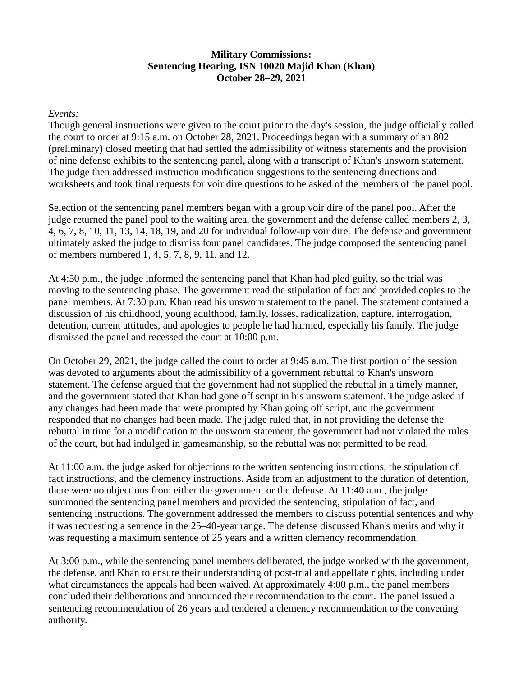### **Military Commissions: Sentencing Hearing, ISN 10020 Majid Khan (Khan) October 28–29, 2021**

#### *Events:*

Though general instructions were given to the court prior to the day's session, the judge officially called the court to order at 9:15 a.m. on October 28, 2021. Proceedings began with a summary of an 802 (preliminary) closed meeting that had settled the admissibility of witness statements and the provision of nine defense exhibits to the sentencing panel, along with a transcript of Khan's unsworn statement. The judge then addressed instruction modification suggestions to the sentencing directions and worksheets and took final requests for voir dire questions to be asked of the members of the panel pool.

Selection of the sentencing panel members began with a group voir dire of the panel pool. After the judge returned the panel pool to the waiting area, the government and the defense called members 2, 3, 4, 6, 7, 8, 10, 11, 13, 14, 18, 19, and 20 for individual follow-up voir dire. The defense and government ultimately asked the judge to dismiss four panel candidates. The judge composed the sentencing panel of members numbered 1, 4, 5, 7, 8, 9, 11, and 12.

At 4:50 p.m., the judge informed the sentencing panel that Khan had pled guilty, so the trial was moving to the sentencing phase. The government read the stipulation of fact and provided copies to the panel members. At 7:30 p.m. Khan read his unsworn statement to the panel. The statement contained a discussion of his childhood, young adulthood, family, losses, radicalization, capture, interrogation, detention, current attitudes, and apologies to people he had harmed, especially his family. The judge dismissed the panel and recessed the court at 10:00 p.m.

On October 29, 2021, the judge called the court to order at 9:45 a.m. The first portion of the session was devoted to arguments about the admissibility of a government rebuttal to Khan's unsworn statement. The defense argued that the government had not supplied the rebuttal in a timely manner, and the government stated that Khan had gone off script in his unsworn statement. The judge asked if any changes had been made that were prompted by Khan going off script, and the government responded that no changes had been made. The judge ruled that, in not providing the defense the rebuttal in time for a modification to the unsworn statement, the government had not violated the rules of the court, but had indulged in gamesmanship, so the rebuttal was not permitted to be read.

At 11:00 a.m. the judge asked for objections to the written sentencing instructions, the stipulation of fact instructions, and the clemency instructions. Aside from an adjustment to the duration of detention, there were no objections from either the government or the defense. At 11:40 a.m., the judge summoned the sentencing panel members and provided the sentencing, stipulation of fact, and sentencing instructions. The government addressed the members to discuss potential sentences and why it was requesting a sentence in the 25–40-year range. The defense discussed Khan's merits and why it was requesting a maximum sentence of 25 years and a written clemency recommendation.

At 3:00 p.m., while the sentencing panel members deliberated, the judge worked with the government, the defense, and Khan to ensure their understanding of post-trial and appellate rights, including under what circumstances the appeals had been waived. At approximately 4:00 p.m., the panel members concluded their deliberations and announced their recommendation to the court. The panel issued a sentencing recommendation of 26 years and tendered a clemency recommendation to the convening authority.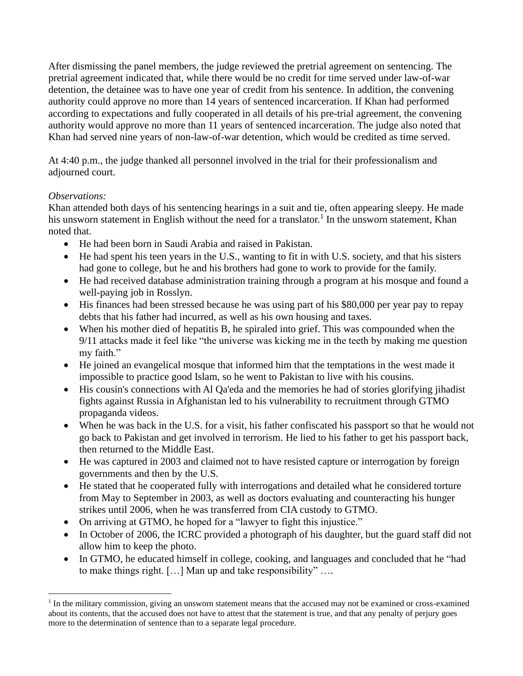After dismissing the panel members, the judge reviewed the pretrial agreement on sentencing. The pretrial agreement indicated that, while there would be no credit for time served under law-of-war detention, the detainee was to have one year of credit from his sentence. In addition, the convening authority could approve no more than 14 years of sentenced incarceration. If Khan had performed according to expectations and fully cooperated in all details of his pre-trial agreement, the convening authority would approve no more than 11 years of sentenced incarceration. The judge also noted that Khan had served nine years of non-law-of-war detention, which would be credited as time served.

At 4:40 p.m., the judge thanked all personnel involved in the trial for their professionalism and adjourned court.

# *Observations:*

Khan attended both days of his sentencing hearings in a suit and tie, often appearing sleepy. He made his unsworn statement in English without the need for a translator.<sup>1</sup> In the unsworn statement, Khan noted that.

- He had been born in Saudi Arabia and raised in Pakistan.
- He had spent his teen years in the U.S., wanting to fit in with U.S. society, and that his sisters had gone to college, but he and his brothers had gone to work to provide for the family.
- He had received database administration training through a program at his mosque and found a well-paying job in Rosslyn.
- His finances had been stressed because he was using part of his \$80,000 per year pay to repay debts that his father had incurred, as well as his own housing and taxes.
- When his mother died of hepatitis B, he spiraled into grief. This was compounded when the 9/11 attacks made it feel like "the universe was kicking me in the teeth by making me question my faith."
- He joined an evangelical mosque that informed him that the temptations in the west made it impossible to practice good Islam, so he went to Pakistan to live with his cousins.
- His cousin's connections with Al Qa'eda and the memories he had of stories glorifying jihadist fights against Russia in Afghanistan led to his vulnerability to recruitment through GTMO propaganda videos.
- When he was back in the U.S. for a visit, his father confiscated his passport so that he would not go back to Pakistan and get involved in terrorism. He lied to his father to get his passport back, then returned to the Middle East.
- He was captured in 2003 and claimed not to have resisted capture or interrogation by foreign governments and then by the U.S.
- He stated that he cooperated fully with interrogations and detailed what he considered torture from May to September in 2003, as well as doctors evaluating and counteracting his hunger strikes until 2006, when he was transferred from CIA custody to GTMO.
- On arriving at GTMO, he hoped for a "lawyer to fight this injustice."
- In October of 2006, the ICRC provided a photograph of his daughter, but the guard staff did not allow him to keep the photo.
- In GTMO, he educated himself in college, cooking, and languages and concluded that he "had to make things right. […] Man up and take responsibility" ….

<sup>&</sup>lt;sup>1</sup> In the military commission, giving an unsworn statement means that the accused may not be examined or cross-examined about its contents, that the accused does not have to attest that the statement is true, and that any penalty of perjury goes more to the determination of sentence than to a separate legal procedure.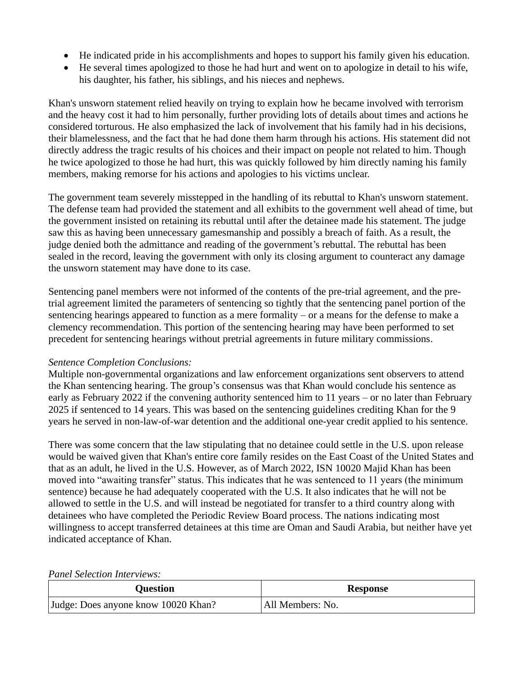- He indicated pride in his accomplishments and hopes to support his family given his education.
- He several times apologized to those he had hurt and went on to apologize in detail to his wife, his daughter, his father, his siblings, and his nieces and nephews.

Khan's unsworn statement relied heavily on trying to explain how he became involved with terrorism and the heavy cost it had to him personally, further providing lots of details about times and actions he considered torturous. He also emphasized the lack of involvement that his family had in his decisions, their blamelessness, and the fact that he had done them harm through his actions. His statement did not directly address the tragic results of his choices and their impact on people not related to him. Though he twice apologized to those he had hurt, this was quickly followed by him directly naming his family members, making remorse for his actions and apologies to his victims unclear.

The government team severely misstepped in the handling of its rebuttal to Khan's unsworn statement. The defense team had provided the statement and all exhibits to the government well ahead of time, but the government insisted on retaining its rebuttal until after the detainee made his statement. The judge saw this as having been unnecessary gamesmanship and possibly a breach of faith. As a result, the judge denied both the admittance and reading of the government's rebuttal. The rebuttal has been sealed in the record, leaving the government with only its closing argument to counteract any damage the unsworn statement may have done to its case.

Sentencing panel members were not informed of the contents of the pre-trial agreement, and the pretrial agreement limited the parameters of sentencing so tightly that the sentencing panel portion of the sentencing hearings appeared to function as a mere formality – or a means for the defense to make a clemency recommendation. This portion of the sentencing hearing may have been performed to set precedent for sentencing hearings without pretrial agreements in future military commissions.

# *Sentence Completion Conclusions:*

Multiple non-governmental organizations and law enforcement organizations sent observers to attend the Khan sentencing hearing. The group's consensus was that Khan would conclude his sentence as early as February 2022 if the convening authority sentenced him to 11 years – or no later than February 2025 if sentenced to 14 years. This was based on the sentencing guidelines crediting Khan for the 9 years he served in non-law-of-war detention and the additional one-year credit applied to his sentence.

There was some concern that the law stipulating that no detainee could settle in the U.S. upon release would be waived given that Khan's entire core family resides on the East Coast of the United States and that as an adult, he lived in the U.S. However, as of March 2022, ISN 10020 Majid Khan has been moved into "awaiting transfer" status. This indicates that he was sentenced to 11 years (the minimum sentence) because he had adequately cooperated with the U.S. It also indicates that he will not be allowed to settle in the U.S. and will instead be negotiated for transfer to a third country along with detainees who have completed the Periodic Review Board process. The nations indicating most willingness to accept transferred detainees at this time are Oman and Saudi Arabia, but neither have yet indicated acceptance of Khan.

| T anet belection there repro-       |                  |
|-------------------------------------|------------------|
| <b>Ouestion</b>                     | <b>Response</b>  |
| Judge: Does anyone know 10020 Khan? | All Members: No. |

#### *Panel Selection Interviews:*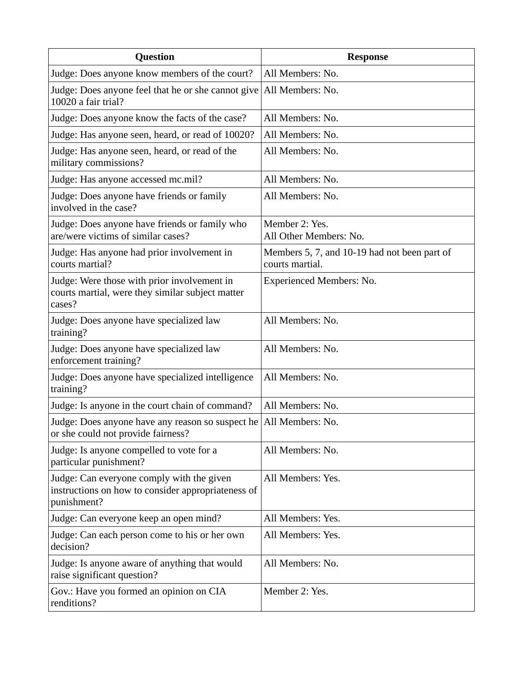| <b>Question</b>                                                                                                | <b>Response</b>                                                 |
|----------------------------------------------------------------------------------------------------------------|-----------------------------------------------------------------|
| Judge: Does anyone know members of the court?                                                                  | All Members: No.                                                |
| Judge: Does anyone feel that he or she cannot give All Members: No.<br>10020 a fair trial?                     |                                                                 |
| Judge: Does anyone know the facts of the case?                                                                 | All Members: No.                                                |
| Judge: Has anyone seen, heard, or read of 10020?                                                               | All Members: No.                                                |
| Judge: Has anyone seen, heard, or read of the<br>military commissions?                                         | All Members: No.                                                |
| Judge: Has anyone accessed mc.mil?                                                                             | All Members: No.                                                |
| Judge: Does anyone have friends or family<br>involved in the case?                                             | All Members: No.                                                |
| Judge: Does anyone have friends or family who<br>are/were victims of similar cases?                            | Member 2: Yes.<br>All Other Members: No.                        |
| Judge: Has anyone had prior involvement in<br>courts martial?                                                  | Members 5, 7, and 10-19 had not been part of<br>courts martial. |
| Judge: Were those with prior involvement in<br>courts martial, were they similar subject matter<br>cases?      | <b>Experienced Members: No.</b>                                 |
| Judge: Does anyone have specialized law<br>training?                                                           | All Members: No.                                                |
| Judge: Does anyone have specialized law<br>enforcement training?                                               | All Members: No.                                                |
| Judge: Does anyone have specialized intelligence<br>training?                                                  | All Members: No.                                                |
| Judge: Is anyone in the court chain of command?                                                                | All Members: No.                                                |
| Judge: Does anyone have any reason so suspect he   All Members: No.<br>or she could not provide fairness?      |                                                                 |
| Judge: Is anyone compelled to vote for a<br>particular punishment?                                             | All Members: No.                                                |
| Judge: Can everyone comply with the given<br>instructions on how to consider appropriateness of<br>punishment? | All Members: Yes.                                               |
| Judge: Can everyone keep an open mind?                                                                         | All Members: Yes.                                               |
| Judge: Can each person come to his or her own<br>decision?                                                     | All Members: Yes.                                               |
| Judge: Is anyone aware of anything that would<br>raise significant question?                                   | All Members: No.                                                |
| Gov.: Have you formed an opinion on CIA<br>renditions?                                                         | Member 2: Yes.                                                  |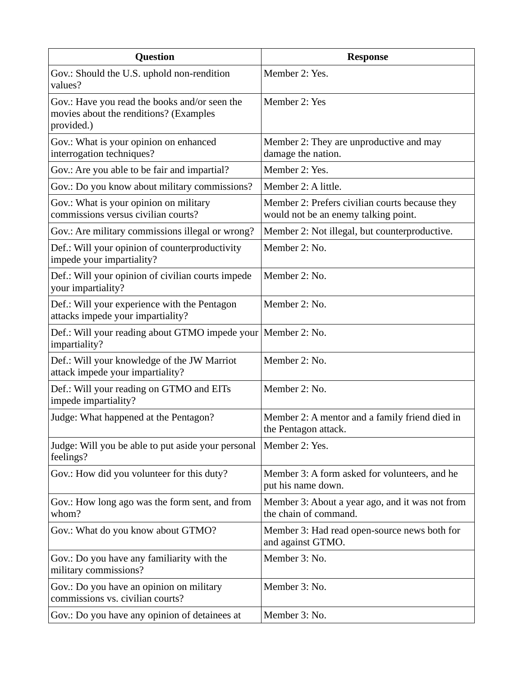| <b>Question</b>                                                                                       | <b>Response</b>                                                                        |
|-------------------------------------------------------------------------------------------------------|----------------------------------------------------------------------------------------|
| Gov.: Should the U.S. uphold non-rendition<br>values?                                                 | Member 2: Yes.                                                                         |
| Gov.: Have you read the books and/or seen the<br>movies about the renditions? (Examples<br>provided.) | Member 2: Yes                                                                          |
| Gov.: What is your opinion on enhanced<br>interrogation techniques?                                   | Member 2: They are unproductive and may<br>damage the nation.                          |
| Gov.: Are you able to be fair and impartial?                                                          | Member 2: Yes.                                                                         |
| Gov.: Do you know about military commissions?                                                         | Member 2: A little.                                                                    |
| Gov.: What is your opinion on military<br>commissions versus civilian courts?                         | Member 2: Prefers civilian courts because they<br>would not be an enemy talking point. |
| Gov.: Are military commissions illegal or wrong?                                                      | Member 2: Not illegal, but counterproductive.                                          |
| Def.: Will your opinion of counterproductivity<br>impede your impartiality?                           | Member 2: No.                                                                          |
| Def.: Will your opinion of civilian courts impede<br>your impartiality?                               | Member 2: No.                                                                          |
| Def.: Will your experience with the Pentagon<br>attacks impede your impartiality?                     | Member 2: No.                                                                          |
| Def.: Will your reading about GTMO impede your Member 2: No.<br>impartiality?                         |                                                                                        |
| Def.: Will your knowledge of the JW Marriot<br>attack impede your impartiality?                       | Member 2: No.                                                                          |
| Def.: Will your reading on GTMO and EITs<br>impede impartiality?                                      | Member 2: No.                                                                          |
| Judge: What happened at the Pentagon?                                                                 | Member 2: A mentor and a family friend died in<br>the Pentagon attack.                 |
| Judge: Will you be able to put aside your personal<br>feelings?                                       | Member 2: Yes.                                                                         |
| Gov.: How did you volunteer for this duty?                                                            | Member 3: A form asked for volunteers, and he<br>put his name down.                    |
| Gov.: How long ago was the form sent, and from<br>whom?                                               | Member 3: About a year ago, and it was not from<br>the chain of command.               |
| Gov.: What do you know about GTMO?                                                                    | Member 3: Had read open-source news both for<br>and against GTMO.                      |
| Gov.: Do you have any familiarity with the<br>military commissions?                                   | Member 3: No.                                                                          |
| Gov.: Do you have an opinion on military<br>commissions vs. civilian courts?                          | Member 3: No.                                                                          |
| Gov.: Do you have any opinion of detainees at                                                         | Member 3: No.                                                                          |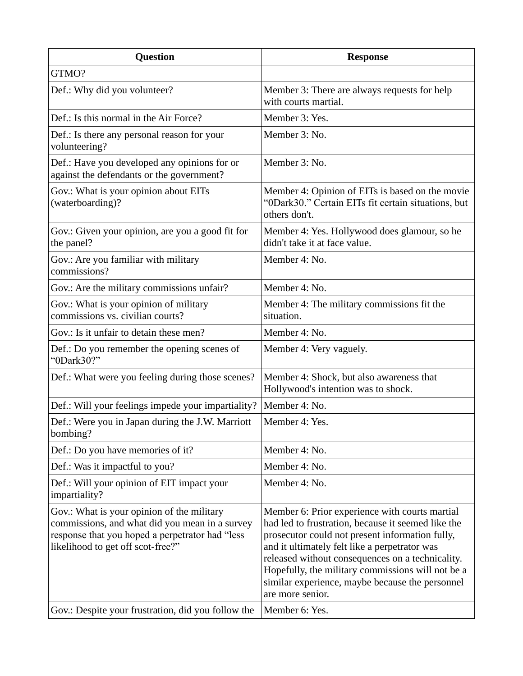| <b>Question</b>                                                                                                                                                                      | <b>Response</b>                                                                                                                                                                                                                                                                                                                                                                          |
|--------------------------------------------------------------------------------------------------------------------------------------------------------------------------------------|------------------------------------------------------------------------------------------------------------------------------------------------------------------------------------------------------------------------------------------------------------------------------------------------------------------------------------------------------------------------------------------|
| GTMO?                                                                                                                                                                                |                                                                                                                                                                                                                                                                                                                                                                                          |
| Def.: Why did you volunteer?                                                                                                                                                         | Member 3: There are always requests for help<br>with courts martial.                                                                                                                                                                                                                                                                                                                     |
| Def.: Is this normal in the Air Force?                                                                                                                                               | Member 3: Yes.                                                                                                                                                                                                                                                                                                                                                                           |
| Def.: Is there any personal reason for your<br>volunteering?                                                                                                                         | Member 3: No.                                                                                                                                                                                                                                                                                                                                                                            |
| Def.: Have you developed any opinions for or<br>against the defendants or the government?                                                                                            | Member 3: No.                                                                                                                                                                                                                                                                                                                                                                            |
| Gov.: What is your opinion about EITs<br>(waterboarding)?                                                                                                                            | Member 4: Opinion of EITs is based on the movie<br>"0Dark30." Certain EITs fit certain situations, but<br>others don't.                                                                                                                                                                                                                                                                  |
| Gov.: Given your opinion, are you a good fit for<br>the panel?                                                                                                                       | Member 4: Yes. Hollywood does glamour, so he<br>didn't take it at face value.                                                                                                                                                                                                                                                                                                            |
| Gov.: Are you familiar with military<br>commissions?                                                                                                                                 | Member 4: No.                                                                                                                                                                                                                                                                                                                                                                            |
| Gov.: Are the military commissions unfair?                                                                                                                                           | Member 4: No.                                                                                                                                                                                                                                                                                                                                                                            |
| Gov.: What is your opinion of military<br>commissions vs. civilian courts?                                                                                                           | Member 4: The military commissions fit the<br>situation.                                                                                                                                                                                                                                                                                                                                 |
| Gov.: Is it unfair to detain these men?                                                                                                                                              | Member 4: No.                                                                                                                                                                                                                                                                                                                                                                            |
| Def.: Do you remember the opening scenes of<br>"0Dark30?"                                                                                                                            | Member 4: Very vaguely.                                                                                                                                                                                                                                                                                                                                                                  |
| Def.: What were you feeling during those scenes?                                                                                                                                     | Member 4: Shock, but also awareness that<br>Hollywood's intention was to shock.                                                                                                                                                                                                                                                                                                          |
| Def.: Will your feelings impede your impartiality?                                                                                                                                   | Member 4: No.                                                                                                                                                                                                                                                                                                                                                                            |
| Def.: Were you in Japan during the J.W. Marriott<br>bombing?                                                                                                                         | Member 4: Yes.                                                                                                                                                                                                                                                                                                                                                                           |
| Def.: Do you have memories of it?                                                                                                                                                    | Member 4: No.                                                                                                                                                                                                                                                                                                                                                                            |
| Def.: Was it impactful to you?                                                                                                                                                       | Member 4: No.                                                                                                                                                                                                                                                                                                                                                                            |
| Def.: Will your opinion of EIT impact your<br>impartiality?                                                                                                                          | Member 4: No.                                                                                                                                                                                                                                                                                                                                                                            |
| Gov.: What is your opinion of the military<br>commissions, and what did you mean in a survey<br>response that you hoped a perpetrator had "less<br>likelihood to get off scot-free?" | Member 6: Prior experience with courts martial<br>had led to frustration, because it seemed like the<br>prosecutor could not present information fully,<br>and it ultimately felt like a perpetrator was<br>released without consequences on a technicality.<br>Hopefully, the military commissions will not be a<br>similar experience, maybe because the personnel<br>are more senior. |
| Gov.: Despite your frustration, did you follow the                                                                                                                                   | Member 6: Yes.                                                                                                                                                                                                                                                                                                                                                                           |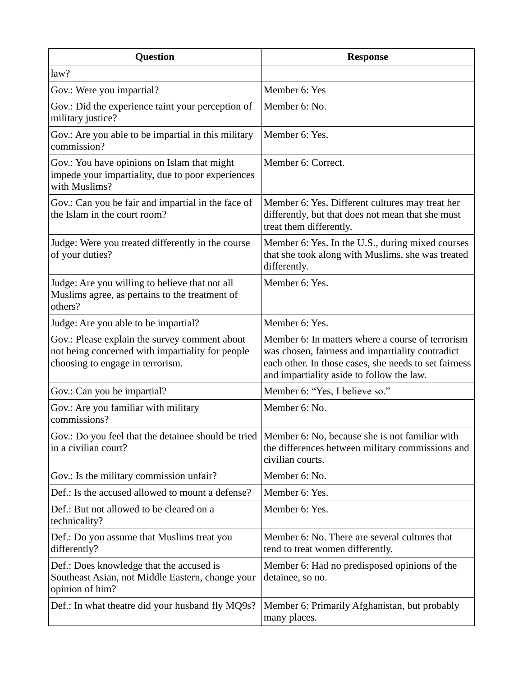| <b>Question</b>                                                                                                                       | <b>Response</b>                                                                                                                                                                                            |
|---------------------------------------------------------------------------------------------------------------------------------------|------------------------------------------------------------------------------------------------------------------------------------------------------------------------------------------------------------|
| law?                                                                                                                                  |                                                                                                                                                                                                            |
| Gov.: Were you impartial?                                                                                                             | Member 6: Yes                                                                                                                                                                                              |
| Gov.: Did the experience taint your perception of<br>military justice?                                                                | Member 6: No.                                                                                                                                                                                              |
| Gov.: Are you able to be impartial in this military<br>commission?                                                                    | Member 6: Yes.                                                                                                                                                                                             |
| Gov.: You have opinions on Islam that might<br>impede your impartiality, due to poor experiences<br>with Muslims?                     | Member 6: Correct.                                                                                                                                                                                         |
| Gov.: Can you be fair and impartial in the face of<br>the Islam in the court room?                                                    | Member 6: Yes. Different cultures may treat her<br>differently, but that does not mean that she must<br>treat them differently.                                                                            |
| Judge: Were you treated differently in the course<br>of your duties?                                                                  | Member 6: Yes. In the U.S., during mixed courses<br>that she took along with Muslims, she was treated<br>differently.                                                                                      |
| Judge: Are you willing to believe that not all<br>Muslims agree, as pertains to the treatment of<br>others?                           | Member 6: Yes.                                                                                                                                                                                             |
| Judge: Are you able to be impartial?                                                                                                  | Member 6: Yes.                                                                                                                                                                                             |
| Gov.: Please explain the survey comment about<br>not being concerned with impartiality for people<br>choosing to engage in terrorism. | Member 6: In matters where a course of terrorism<br>was chosen, fairness and impartiality contradict<br>each other. In those cases, she needs to set fairness<br>and impartiality aside to follow the law. |
| Gov.: Can you be impartial?                                                                                                           | Member 6: "Yes, I believe so."                                                                                                                                                                             |
| Gov.: Are you familiar with military<br>commissions?                                                                                  | Member 6: No.                                                                                                                                                                                              |
| Gov.: Do you feel that the detainee should be tried<br>in a civilian court?                                                           | Member 6: No, because she is not familiar with<br>the differences between military commissions and<br>civilian courts.                                                                                     |
| Gov.: Is the military commission unfair?                                                                                              | Member 6: No.                                                                                                                                                                                              |
| Def.: Is the accused allowed to mount a defense?                                                                                      | Member 6: Yes.                                                                                                                                                                                             |
| Def.: But not allowed to be cleared on a<br>technicality?                                                                             | Member 6: Yes.                                                                                                                                                                                             |
| Def.: Do you assume that Muslims treat you<br>differently?                                                                            | Member 6: No. There are several cultures that<br>tend to treat women differently.                                                                                                                          |
| Def.: Does knowledge that the accused is<br>Southeast Asian, not Middle Eastern, change your<br>opinion of him?                       | Member 6: Had no predisposed opinions of the<br>detainee, so no.                                                                                                                                           |
| Def.: In what theatre did your husband fly MQ9s?                                                                                      | Member 6: Primarily Afghanistan, but probably<br>many places.                                                                                                                                              |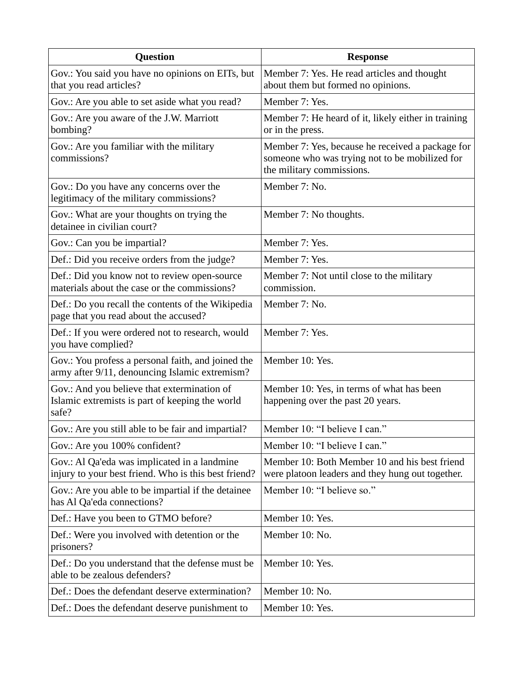| <b>Question</b>                                                                                         | <b>Response</b>                                                                                                                 |
|---------------------------------------------------------------------------------------------------------|---------------------------------------------------------------------------------------------------------------------------------|
| Gov.: You said you have no opinions on EITs, but<br>that you read articles?                             | Member 7: Yes. He read articles and thought<br>about them but formed no opinions.                                               |
| Gov.: Are you able to set aside what you read?                                                          | Member 7: Yes.                                                                                                                  |
| Gov.: Are you aware of the J.W. Marriott<br>bombing?                                                    | Member 7: He heard of it, likely either in training<br>or in the press.                                                         |
| Gov.: Are you familiar with the military<br>commissions?                                                | Member 7: Yes, because he received a package for<br>someone who was trying not to be mobilized for<br>the military commissions. |
| Gov.: Do you have any concerns over the<br>legitimacy of the military commissions?                      | Member 7: No.                                                                                                                   |
| Gov.: What are your thoughts on trying the<br>detainee in civilian court?                               | Member 7: No thoughts.                                                                                                          |
| Gov.: Can you be impartial?                                                                             | Member 7: Yes.                                                                                                                  |
| Def.: Did you receive orders from the judge?                                                            | Member 7: Yes.                                                                                                                  |
| Def.: Did you know not to review open-source<br>materials about the case or the commissions?            | Member 7: Not until close to the military<br>commission.                                                                        |
| Def.: Do you recall the contents of the Wikipedia<br>page that you read about the accused?              | Member 7: No.                                                                                                                   |
| Def.: If you were ordered not to research, would<br>you have complied?                                  | Member 7: Yes.                                                                                                                  |
| Gov.: You profess a personal faith, and joined the<br>army after 9/11, denouncing Islamic extremism?    | Member 10: Yes.                                                                                                                 |
| Gov.: And you believe that extermination of<br>Islamic extremists is part of keeping the world<br>safe? | Member 10: Yes, in terms of what has been<br>happening over the past 20 years.                                                  |
| Gov.: Are you still able to be fair and impartial?                                                      | Member 10: "I believe I can."                                                                                                   |
| Gov.: Are you 100% confident?                                                                           | Member 10: "I believe I can."                                                                                                   |
| Gov.: Al Qa'eda was implicated in a landmine<br>injury to your best friend. Who is this best friend?    | Member 10: Both Member 10 and his best friend<br>were platoon leaders and they hung out together.                               |
| Gov.: Are you able to be impartial if the detainee<br>has Al Qa'eda connections?                        | Member 10: "I believe so."                                                                                                      |
| Def.: Have you been to GTMO before?                                                                     | Member 10: Yes.                                                                                                                 |
| Def.: Were you involved with detention or the<br>prisoners?                                             | Member 10: No.                                                                                                                  |
| Def.: Do you understand that the defense must be<br>able to be zealous defenders?                       | Member 10: Yes.                                                                                                                 |
| Def.: Does the defendant deserve extermination?                                                         | Member 10: No.                                                                                                                  |
| Def.: Does the defendant deserve punishment to                                                          | Member 10: Yes.                                                                                                                 |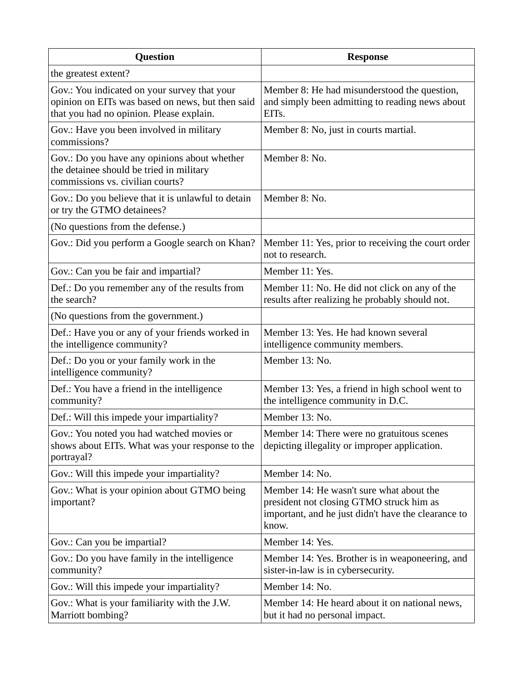| <b>Question</b>                                                                                                                              | <b>Response</b>                                                                                                                                      |
|----------------------------------------------------------------------------------------------------------------------------------------------|------------------------------------------------------------------------------------------------------------------------------------------------------|
| the greatest extent?                                                                                                                         |                                                                                                                                                      |
| Gov.: You indicated on your survey that your<br>opinion on EITs was based on news, but then said<br>that you had no opinion. Please explain. | Member 8: He had misunderstood the question,<br>and simply been admitting to reading news about<br>EIT <sub>s</sub> .                                |
| Gov.: Have you been involved in military<br>commissions?                                                                                     | Member 8: No, just in courts martial.                                                                                                                |
| Gov.: Do you have any opinions about whether<br>the detainee should be tried in military<br>commissions vs. civilian courts?                 | Member 8: No.                                                                                                                                        |
| Gov.: Do you believe that it is unlawful to detain<br>or try the GTMO detainees?                                                             | Member 8: No.                                                                                                                                        |
| (No questions from the defense.)                                                                                                             |                                                                                                                                                      |
| Gov.: Did you perform a Google search on Khan?                                                                                               | Member 11: Yes, prior to receiving the court order<br>not to research.                                                                               |
| Gov.: Can you be fair and impartial?                                                                                                         | Member 11: Yes.                                                                                                                                      |
| Def.: Do you remember any of the results from<br>the search?                                                                                 | Member 11: No. He did not click on any of the<br>results after realizing he probably should not.                                                     |
| (No questions from the government.)                                                                                                          |                                                                                                                                                      |
| Def.: Have you or any of your friends worked in<br>the intelligence community?                                                               | Member 13: Yes. He had known several<br>intelligence community members.                                                                              |
| Def.: Do you or your family work in the<br>intelligence community?                                                                           | Member 13: No.                                                                                                                                       |
| Def.: You have a friend in the intelligence<br>community?                                                                                    | Member 13: Yes, a friend in high school went to<br>the intelligence community in D.C.                                                                |
| Def.: Will this impede your impartiality?                                                                                                    | Member 13: No.                                                                                                                                       |
| Gov.: You noted you had watched movies or<br>shows about EITs. What was your response to the<br>portrayal?                                   | Member 14: There were no gratuitous scenes<br>depicting illegality or improper application.                                                          |
| Gov.: Will this impede your impartiality?                                                                                                    | Member 14: No.                                                                                                                                       |
| Gov.: What is your opinion about GTMO being<br>important?                                                                                    | Member 14: He wasn't sure what about the<br>president not closing GTMO struck him as<br>important, and he just didn't have the clearance to<br>know. |
| Gov.: Can you be impartial?                                                                                                                  | Member 14: Yes.                                                                                                                                      |
| Gov.: Do you have family in the intelligence<br>community?                                                                                   | Member 14: Yes. Brother is in weaponeering, and<br>sister-in-law is in cybersecurity.                                                                |
| Gov.: Will this impede your impartiality?                                                                                                    | Member 14: No.                                                                                                                                       |
| Gov.: What is your familiarity with the J.W.<br>Marriott bombing?                                                                            | Member 14: He heard about it on national news,<br>but it had no personal impact.                                                                     |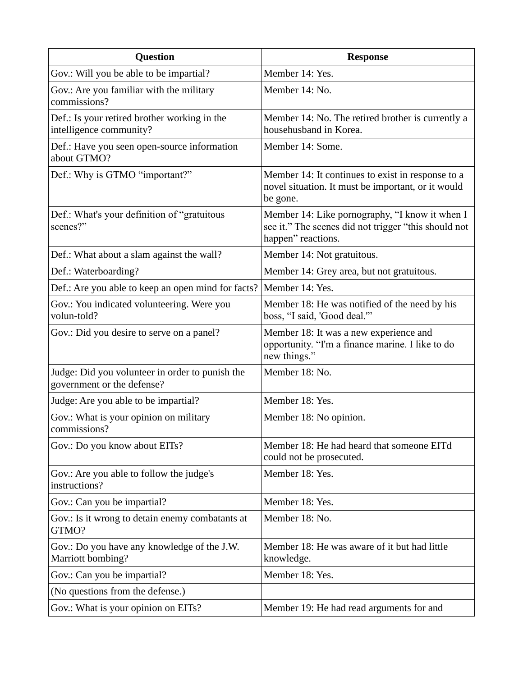| <b>Question</b>                                                               | <b>Response</b>                                                                                                              |
|-------------------------------------------------------------------------------|------------------------------------------------------------------------------------------------------------------------------|
| Gov.: Will you be able to be impartial?                                       | Member 14: Yes.                                                                                                              |
| Gov.: Are you familiar with the military<br>commissions?                      | Member 14: No.                                                                                                               |
| Def.: Is your retired brother working in the<br>intelligence community?       | Member 14: No. The retired brother is currently a<br>househusband in Korea.                                                  |
| Def.: Have you seen open-source information<br>about GTMO?                    | Member 14: Some.                                                                                                             |
| Def.: Why is GTMO "important?"                                                | Member 14: It continues to exist in response to a<br>novel situation. It must be important, or it would<br>be gone.          |
| Def.: What's your definition of "gratuitous<br>scenes?"                       | Member 14: Like pornography, "I know it when I<br>see it." The scenes did not trigger "this should not<br>happen" reactions. |
| Def.: What about a slam against the wall?                                     | Member 14: Not gratuitous.                                                                                                   |
| Def.: Waterboarding?                                                          | Member 14: Grey area, but not gratuitous.                                                                                    |
| Def.: Are you able to keep an open mind for facts?                            | Member 14: Yes.                                                                                                              |
| Gov.: You indicated volunteering. Were you<br>volun-told?                     | Member 18: He was notified of the need by his<br>boss, "I said, 'Good deal."'                                                |
| Gov.: Did you desire to serve on a panel?                                     | Member 18: It was a new experience and<br>opportunity. "I'm a finance marine. I like to do<br>new things."                   |
| Judge: Did you volunteer in order to punish the<br>government or the defense? | Member 18: No.                                                                                                               |
| Judge: Are you able to be impartial?                                          | Member 18: Yes.                                                                                                              |
| Gov.: What is your opinion on military<br>commissions?                        | Member 18: No opinion.                                                                                                       |
| Gov.: Do you know about EITs?                                                 | Member 18: He had heard that someone EITd<br>could not be prosecuted.                                                        |
| Gov.: Are you able to follow the judge's<br>instructions?                     | Member 18: Yes.                                                                                                              |
| Gov.: Can you be impartial?                                                   | Member 18: Yes.                                                                                                              |
| Gov.: Is it wrong to detain enemy combatants at<br>GTMO?                      | Member 18: No.                                                                                                               |
| Gov.: Do you have any knowledge of the J.W.<br>Marriott bombing?              | Member 18: He was aware of it but had little<br>knowledge.                                                                   |
| Gov.: Can you be impartial?                                                   | Member 18: Yes.                                                                                                              |
| (No questions from the defense.)                                              |                                                                                                                              |
| Gov.: What is your opinion on EITs?                                           | Member 19: He had read arguments for and                                                                                     |